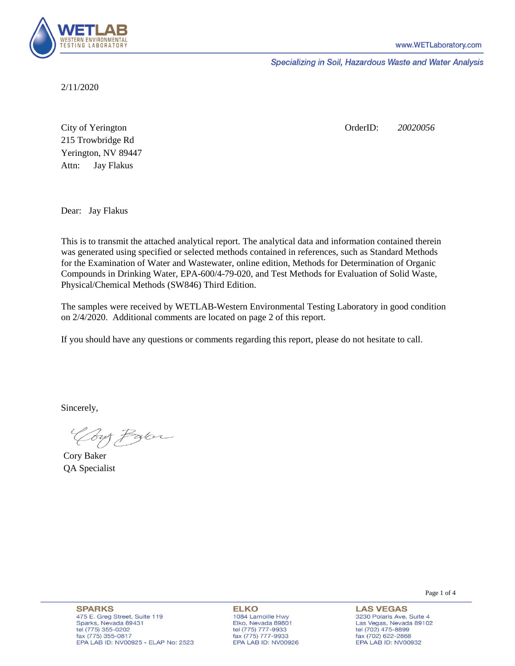

Specializing in Soil, Hazardous Waste and Water Analysis

2/11/2020

Attn: City of Yerington 215 Trowbridge Rd Jay Flakus Yerington, NV 89447 OrderID: *20020056*

Dear: Jay Flakus

This is to transmit the attached analytical report. The analytical data and information contained therein was generated using specified or selected methods contained in references, such as Standard Methods for the Examination of Water and Wastewater, online edition, Methods for Determination of Organic Compounds in Drinking Water, EPA-600/4-79-020, and Test Methods for Evaluation of Solid Waste, Physical/Chemical Methods (SW846) Third Edition.

The samples were received by WETLAB-Western Environmental Testing Laboratory in good condition on 2/4/2020. Additional comments are located on page 2 of this report.

If you should have any questions or comments regarding this report, please do not hesitate to call.

Sincerely,

Your Parce

Cory Baker QA Specialist

**SPARKS** 475 E. Greg Street, Suite 119 Sparks, Nevada 89431 tel (775) 355-0202 fax (775) 355-0817 EPA LAB ID: NV00925 - ELAP No: 2523

**ELKO** 1084 Lamoille Hwy Elko, Nevada 89801 tel (775) 777-9933<br>fax (775) 777-9933 EPA LAB ID: NV00926 Page 1 of 4

**LAS VEGAS** 3230 Polaris Ave. Suite 4 Las Vegas, Nevada 89102 tel (702) 475-8899 fax (702) 622-2868 EPA LAB ID: NV00932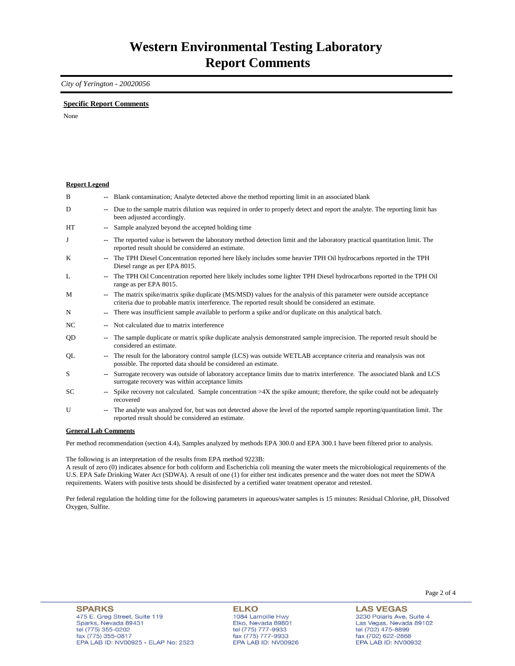## *City of Yerington - 20020056*

## **Specific Report Comments**

None

| <b>Report Legend</b>  |                          |                                                                                                                                                                                                                           |
|-----------------------|--------------------------|---------------------------------------------------------------------------------------------------------------------------------------------------------------------------------------------------------------------------|
| B                     |                          | Blank contamination; Analyte detected above the method reporting limit in an associated blank                                                                                                                             |
| D                     | ۰.                       | Due to the sample matrix dilution was required in order to properly detect and report the analyte. The reporting limit has<br>been adjusted accordingly.                                                                  |
| <b>HT</b>             |                          | Sample analyzed beyond the accepted holding time                                                                                                                                                                          |
| J                     | ۰.                       | The reported value is between the laboratory method detection limit and the laboratory practical quantitation limit. The<br>reported result should be considered an estimate.                                             |
| K                     |                          | The TPH Diesel Concentration reported here likely includes some heavier TPH Oil hydrocarbons reported in the TPH<br>Diesel range as per EPA 8015.                                                                         |
| L                     | $\overline{\phantom{a}}$ | The TPH Oil Concentration reported here likely includes some lighter TPH Diesel hydrocarbons reported in the TPH Oil<br>range as per EPA 8015.                                                                            |
| M                     | --                       | The matrix spike/matrix spike duplicate (MS/MSD) values for the analysis of this parameter were outside acceptance<br>criteria due to probable matrix interference. The reported result should be considered an estimate. |
| N                     |                          | There was insufficient sample available to perform a spike and/or duplicate on this analytical batch.                                                                                                                     |
| NC.                   |                          | Not calculated due to matrix interference                                                                                                                                                                                 |
| QD                    | ۰.                       | The sample duplicate or matrix spike duplicate analysis demonstrated sample imprecision. The reported result should be<br>considered an estimate.                                                                         |
| QL                    |                          | The result for the laboratory control sample (LCS) was outside WETLAB acceptance criteria and reanalysis was not<br>possible. The reported data should be considered an estimate.                                         |
| S                     |                          | Surrogate recovery was outside of laboratory acceptance limits due to matrix interference. The associated blank and LCS<br>surrogate recovery was within acceptance limits                                                |
| SC                    |                          | Spike recovery not calculated. Sample concentration $>4X$ the spike amount; therefore, the spike could not be adequately<br>recovered                                                                                     |
| U                     |                          | The analyte was analyzed for, but was not detected above the level of the reported sample reporting/quantitation limit. The<br>reported result should be considered an estimate.                                          |
| Conoral I ah Commonte |                          |                                                                                                                                                                                                                           |

**General Lab Comments**

Per method recommendation (section 4.4), Samples analyzed by methods EPA 300.0 and EPA 300.1 have been filtered prior to analysis.

The following is an interpretation of the results from EPA method 9223B:

A result of zero (0) indicates absence for both coliform and Escherichia coli meaning the water meets the microbiological requirements of the U.S. EPA Safe Drinking Water Act (SDWA). A result of one (1) for either test indicates presence and the water does not meet the SDWA requirements. Waters with positive tests should be disinfected by a certified water treatment operator and retested.

Per federal regulation the holding time for the following parameters in aqueous/water samples is 15 minutes: Residual Chlorine, pH, Dissolved Oxygen, Sulfite.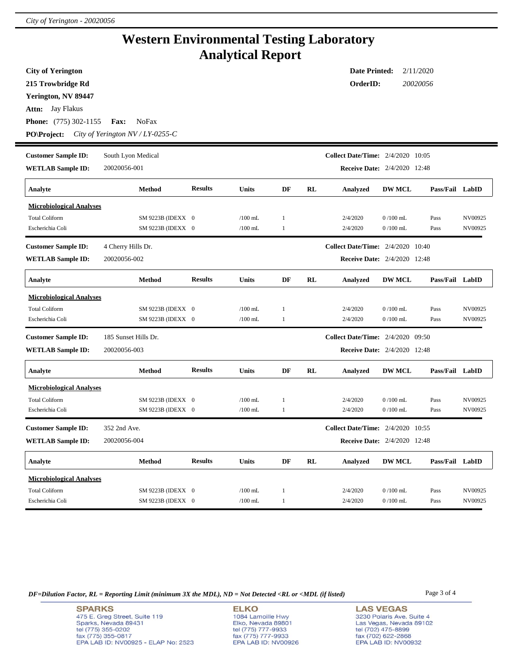## **Western Environmental Testing Laboratory Analytical Report**

| <b>City of Yerington</b><br>215 Trowbridge Rd<br>Yerington, NV 89447<br>Jay Flakus<br>Attn:<br><b>Phone:</b> (775) 302-1155<br><b>PO\Project:</b> | <b>Fax:</b><br>NoFax<br>City of Yerington NV / LY-0255-C |                |              |              |    | <b>Date Printed:</b><br>OrderID:         |               | 2/11/2020<br>20020056 |         |
|---------------------------------------------------------------------------------------------------------------------------------------------------|----------------------------------------------------------|----------------|--------------|--------------|----|------------------------------------------|---------------|-----------------------|---------|
| <b>Customer Sample ID:</b>                                                                                                                        | South Lyon Medical                                       |                |              |              |    | <b>Collect Date/Time:</b> 2/4/2020 10:05 |               |                       |         |
| <b>WETLAB</b> Sample ID:                                                                                                                          | 20020056-001                                             |                |              |              |    | <b>Receive Date:</b> 2/4/2020 12:48      |               |                       |         |
| Analyte                                                                                                                                           | Method                                                   | <b>Results</b> | Units        | DF           | RL | Analyzed                                 | <b>DW MCL</b> | Pass/Fail LabID       |         |
| <b>Microbiological Analyses</b>                                                                                                                   |                                                          |                |              |              |    |                                          |               |                       |         |
| <b>Total Coliform</b>                                                                                                                             | SM 9223B (IDEXX 0                                        |                | $/100$ mL    | 1            |    | 2/4/2020                                 | $0/100$ mL    | Pass                  | NV00925 |
| Escherichia Coli                                                                                                                                  | SM 9223B (IDEXX 0                                        |                | $/100$ mL    | 1            |    | 2/4/2020                                 | $0/100$ mL    | Pass                  | NV00925 |
| <b>Customer Sample ID:</b>                                                                                                                        | 4 Cherry Hills Dr.                                       |                |              |              |    | <b>Collect Date/Time:</b> 2/4/2020 10:40 |               |                       |         |
| <b>WETLAB Sample ID:</b>                                                                                                                          | 20020056-002                                             |                |              |              |    | <b>Receive Date:</b> 2/4/2020 12:48      |               |                       |         |
| Analyte                                                                                                                                           | Method                                                   | <b>Results</b> | Units        | DF           | RL | Analyzed                                 | <b>DW MCL</b> | Pass/Fail LabID       |         |
| <b>Microbiological Analyses</b>                                                                                                                   |                                                          |                |              |              |    |                                          |               |                       |         |
| <b>Total Coliform</b>                                                                                                                             | SM 9223B (IDEXX 0                                        |                | $/100$ mL    | 1            |    | 2/4/2020                                 | $0/100$ mL    | Pass                  | NV00925 |
| Escherichia Coli                                                                                                                                  | SM 9223B (IDEXX 0                                        |                | $/100$ mL    | 1            |    | 2/4/2020                                 | $0/100$ mL    | Pass                  | NV00925 |
| <b>Customer Sample ID:</b>                                                                                                                        | 185 Sunset Hills Dr.                                     |                |              |              |    | <b>Collect Date/Time:</b> 2/4/2020 09:50 |               |                       |         |
| <b>WETLAB Sample ID:</b>                                                                                                                          | 20020056-003                                             |                |              |              |    | <b>Receive Date:</b> 2/4/2020 12:48      |               |                       |         |
| Analyte                                                                                                                                           | Method                                                   | <b>Results</b> | Units        | DF           | RL | Analyzed                                 | <b>DW MCL</b> | Pass/Fail LabID       |         |
| <b>Microbiological Analyses</b>                                                                                                                   |                                                          |                |              |              |    |                                          |               |                       |         |
| <b>Total Coliform</b>                                                                                                                             | SM 9223B (IDEXX 0                                        |                | $/100$ mL    | 1            |    | 2/4/2020                                 | $0/100$ mL    | Pass                  | NV00925 |
| Escherichia Coli                                                                                                                                  | SM 9223B (IDEXX 0                                        |                | $/100$ mL    | 1            |    | 2/4/2020                                 | $0/100$ mL    | Pass                  | NV00925 |
| <b>Customer Sample ID:</b>                                                                                                                        | 352 2nd Ave.                                             |                |              |              |    | <b>Collect Date/Time:</b> 2/4/2020 10:55 |               |                       |         |
| <b>WETLAB Sample ID:</b>                                                                                                                          | 20020056-004                                             |                |              |              |    | <b>Receive Date:</b> 2/4/2020 12:48      |               |                       |         |
| Analyte                                                                                                                                           | Method                                                   | <b>Results</b> | <b>Units</b> | DF           | RL | <b>Analyzed</b>                          | <b>DW MCL</b> | Pass/Fail LabID       |         |
| <b>Microbiological Analyses</b>                                                                                                                   |                                                          |                |              |              |    |                                          |               |                       |         |
| <b>Total Coliform</b>                                                                                                                             | SM 9223B (IDEXX 0                                        |                | $/100$ mL    | $\mathbf{1}$ |    | 2/4/2020                                 | $0/100$ mL    | Pass                  | NV00925 |
| Escherichia Coli                                                                                                                                  | SM 9223B (IDEXX 0                                        |                | $/100$ mL    | $\mathbf{1}$ |    | 2/4/2020                                 | $0/100$ mL    | Pass                  | NV00925 |

*DF=Dilution Factor, RL = Reporting Limit (minimum 3X the MDL), ND = Not Detected <RL or <MDL (if listed)* Page 3 of 4

**SPARKS** 475 E. Greg Street, Suite 119 Sparks, Nevada 89431<br>tel (775) 355-0202<br>fax (775) 355-0817 EPA LAB ID: NV00925 - ELAP No: 2523

**ELKO** 1084 Lamoille Hwy Polyton, Nevada 89801<br>tel (775) 777-9933<br>fax (775) 777-9933<br>EPA LAB ID: NV00926

**LAS VEGAS** 3230 Polaris Ave. Suite 4 Las Vegas, Nevada 89102<br>tel (702) 475-8899<br>fax (702) 622-2868<br>EPA LAB ID: NV00932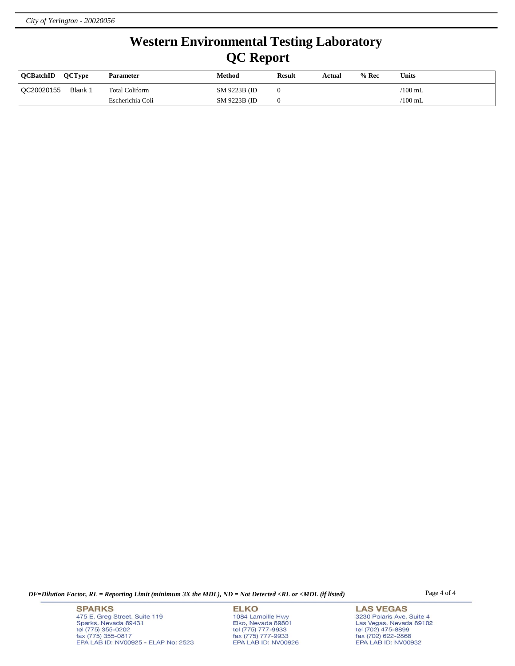## **Western Environmental Testing Laboratory QC Report**

| <b>OCBatchID</b> | <b>OCTvpe</b> | <b>Parameter</b> | Method        | <b>Result</b> | Actual | $%$ Rec | Units           |
|------------------|---------------|------------------|---------------|---------------|--------|---------|-----------------|
| QC20020155       | Blank 1       | Total Coliform   | SM 9223B (ID) |               |        |         | $\sqrt{100}$ mL |
|                  |               | Escherichia Coli | SM 9223B (ID) |               |        |         | $\sqrt{100}$ mL |

*DF=Dilution Factor, RL = Reporting Limit (minimum 3X the MDL), ND = Not Detected <RL or <MDL (if listed)* Page 4 of 4

**SPARKS** 475 E. Greg Street, Suite 119 Sparks, Nevada 89431<br>tel (775) 355-0202<br>fax (775) 355-0817 EPA LAB ID: NV00925 - ELAP No: 2523

**ELKO** 1084 Lamoille Hwy Polyton, Nevada 89801<br>tel (775) 777-9933<br>fax (775) 777-9933<br>EPA LAB ID: NV00926

**LAS VEGAS** 3230 Polaris Ave. Suite 4 Las Vegas, Nevada 89102<br>tel (702) 475-8899<br>fax (702) 622-2868<br>EPA LAB ID: NV00932